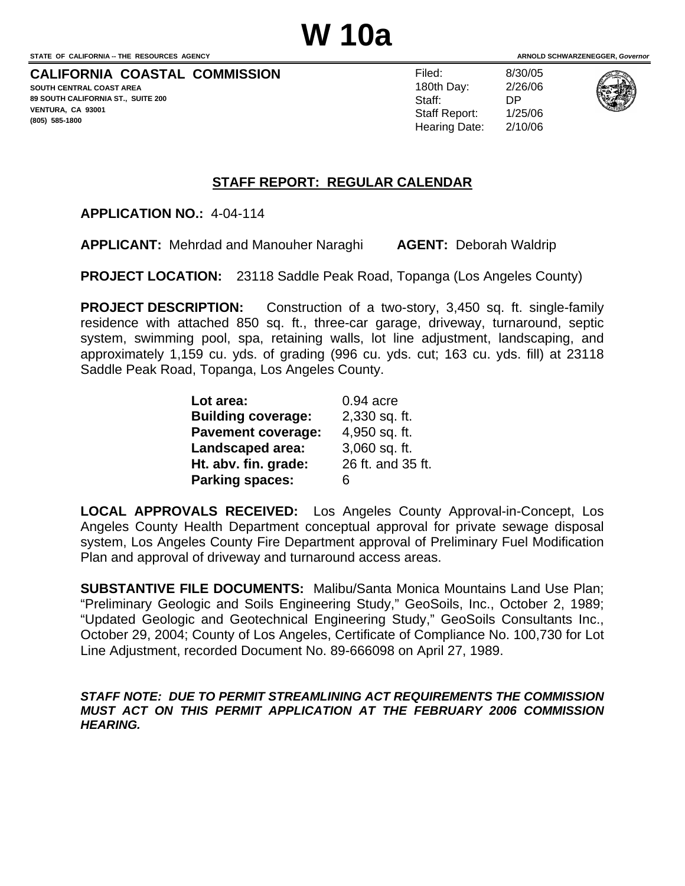**CALIFORNIA COASTAL COMMISSION** 

**SOUTH CENTRAL COAST AREA 89 SOUTH CALIFORNIA ST., SUITE 200 VENTURA, CA 93001 (805) 585-1800** 

Filed: 8/30/05 180th Day: 2/26/06 Staff: DP Staff Report: 1/25/06 Hearing Date: 2/10/06



#### **STAFF REPORT: REGULAR CALENDAR**

**APPLICATION NO.:** 4-04-114

**APPLICANT:** Mehrdad and Manouher Naraghi **AGENT:** Deborah Waldrip

**PROJECT LOCATION:** 23118 Saddle Peak Road, Topanga (Los Angeles County)

**PROJECT DESCRIPTION:** Construction of a two-story, 3,450 sq. ft. single-family residence with attached 850 sq. ft., three-car garage, driveway, turnaround, septic system, swimming pool, spa, retaining walls, lot line adjustment, landscaping, and approximately 1,159 cu. yds. of grading (996 cu. yds. cut; 163 cu. yds. fill) at 23118 Saddle Peak Road, Topanga, Los Angeles County.

| Lot area:                 | $0.94$ acre       |
|---------------------------|-------------------|
| <b>Building coverage:</b> | 2,330 sq. ft.     |
| <b>Pavement coverage:</b> | 4,950 sq. ft.     |
| Landscaped area:          | 3,060 sq. ft.     |
| Ht. abv. fin. grade:      | 26 ft. and 35 ft. |
| <b>Parking spaces:</b>    | 6                 |

**LOCAL APPROVALS RECEIVED:** Los Angeles County Approval-in-Concept, Los Angeles County Health Department conceptual approval for private sewage disposal system, Los Angeles County Fire Department approval of Preliminary Fuel Modification Plan and approval of driveway and turnaround access areas.

**SUBSTANTIVE FILE DOCUMENTS:** Malibu/Santa Monica Mountains Land Use Plan; "Preliminary Geologic and Soils Engineering Study," GeoSoils, Inc., October 2, 1989; "Updated Geologic and Geotechnical Engineering Study," GeoSoils Consultants Inc., October 29, 2004; County of Los Angeles, Certificate of Compliance No. 100,730 for Lot Line Adjustment, recorded Document No. 89-666098 on April 27, 1989.

*STAFF NOTE: DUE TO PERMIT STREAMLINING ACT REQUIREMENTS THE COMMISSION MUST ACT ON THIS PERMIT APPLICATION AT THE FEBRUARY 2006 COMMISSION HEARING.*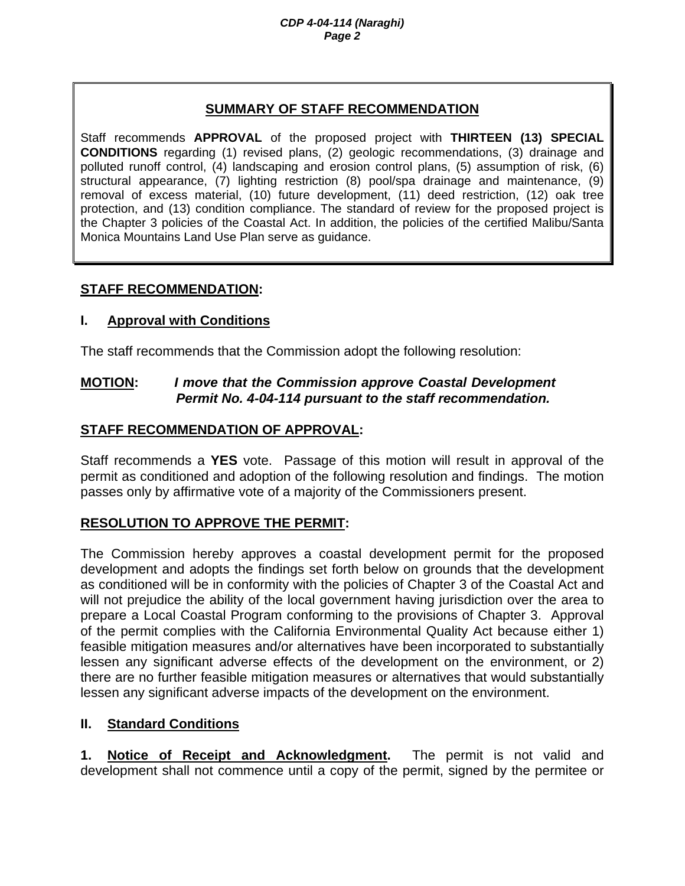### **SUMMARY OF STAFF RECOMMENDATION**

Staff recommends **APPROVAL** of the proposed project with **THIRTEEN (13) SPECIAL CONDITIONS** regarding (1) revised plans, (2) geologic recommendations, (3) drainage and polluted runoff control, (4) landscaping and erosion control plans, (5) assumption of risk, (6) structural appearance, (7) lighting restriction (8) pool/spa drainage and maintenance, (9) removal of excess material, (10) future development, (11) deed restriction, (12) oak tree protection, and (13) condition compliance. The standard of review for the proposed project is the Chapter 3 policies of the Coastal Act. In addition, the policies of the certified Malibu/Santa Monica Mountains Land Use Plan serve as guidance.

## **STAFF RECOMMENDATION:**

### **I. Approval with Conditions**

The staff recommends that the Commission adopt the following resolution:

### **MOTION:** *I move that the Commission approve Coastal Development Permit No. 4-04-114 pursuant to the staff recommendation.*

## **STAFF RECOMMENDATION OF APPROVAL:**

Staff recommends a **YES** vote. Passage of this motion will result in approval of the permit as conditioned and adoption of the following resolution and findings. The motion passes only by affirmative vote of a majority of the Commissioners present.

# **RESOLUTION TO APPROVE THE PERMIT:**

The Commission hereby approves a coastal development permit for the proposed development and adopts the findings set forth below on grounds that the development as conditioned will be in conformity with the policies of Chapter 3 of the Coastal Act and will not prejudice the ability of the local government having jurisdiction over the area to prepare a Local Coastal Program conforming to the provisions of Chapter 3. Approval of the permit complies with the California Environmental Quality Act because either 1) feasible mitigation measures and/or alternatives have been incorporated to substantially lessen any significant adverse effects of the development on the environment, or 2) there are no further feasible mitigation measures or alternatives that would substantially lessen any significant adverse impacts of the development on the environment.

### **II. Standard Conditions**

**1. Notice of Receipt and Acknowledgment.** The permit is not valid and development shall not commence until a copy of the permit, signed by the permitee or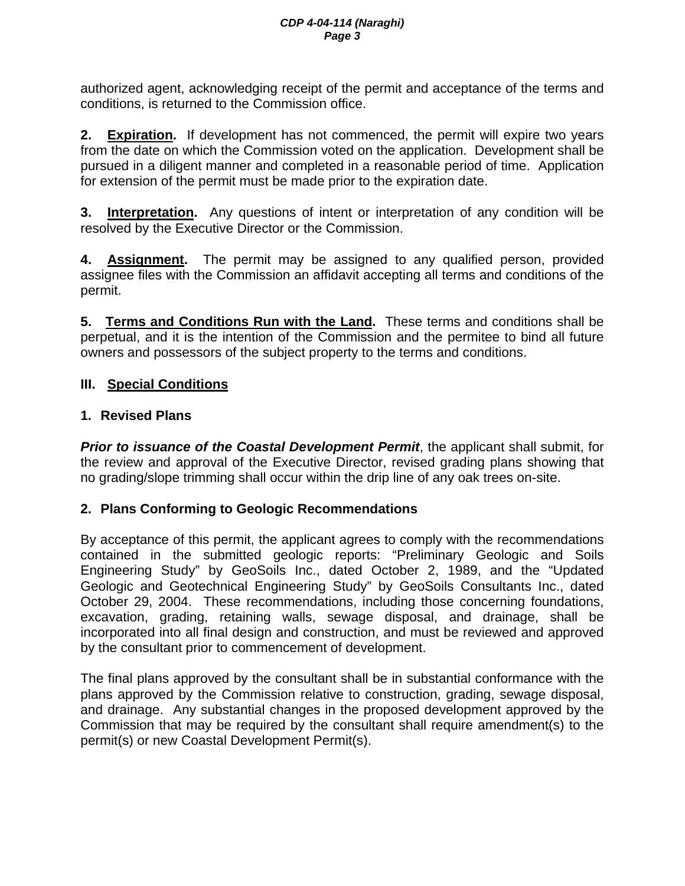authorized agent, acknowledging receipt of the permit and acceptance of the terms and conditions, is returned to the Commission office.

**2. Expiration.** If development has not commenced, the permit will expire two years from the date on which the Commission voted on the application. Development shall be pursued in a diligent manner and completed in a reasonable period of time. Application for extension of the permit must be made prior to the expiration date.

**3. Interpretation.** Any questions of intent or interpretation of any condition will be resolved by the Executive Director or the Commission.

**4. Assignment.** The permit may be assigned to any qualified person, provided assignee files with the Commission an affidavit accepting all terms and conditions of the permit.

**5. Terms and Conditions Run with the Land.** These terms and conditions shall be perpetual, and it is the intention of the Commission and the permitee to bind all future owners and possessors of the subject property to the terms and conditions.

# **III. Special Conditions**

## **1. Revised Plans**

*Prior to issuance of the Coastal Development Permit*, the applicant shall submit, for the review and approval of the Executive Director, revised grading plans showing that no grading/slope trimming shall occur within the drip line of any oak trees on-site.

# **2. Plans Conforming to Geologic Recommendations**

By acceptance of this permit, the applicant agrees to comply with the recommendations contained in the submitted geologic reports: "Preliminary Geologic and Soils Engineering Study" by GeoSoils Inc., dated October 2, 1989, and the "Updated Geologic and Geotechnical Engineering Study" by GeoSoils Consultants Inc., dated October 29, 2004. These recommendations, including those concerning foundations, excavation, grading, retaining walls, sewage disposal, and drainage, shall be incorporated into all final design and construction, and must be reviewed and approved by the consultant prior to commencement of development.

The final plans approved by the consultant shall be in substantial conformance with the plans approved by the Commission relative to construction, grading, sewage disposal, and drainage. Any substantial changes in the proposed development approved by the Commission that may be required by the consultant shall require amendment(s) to the permit(s) or new Coastal Development Permit(s).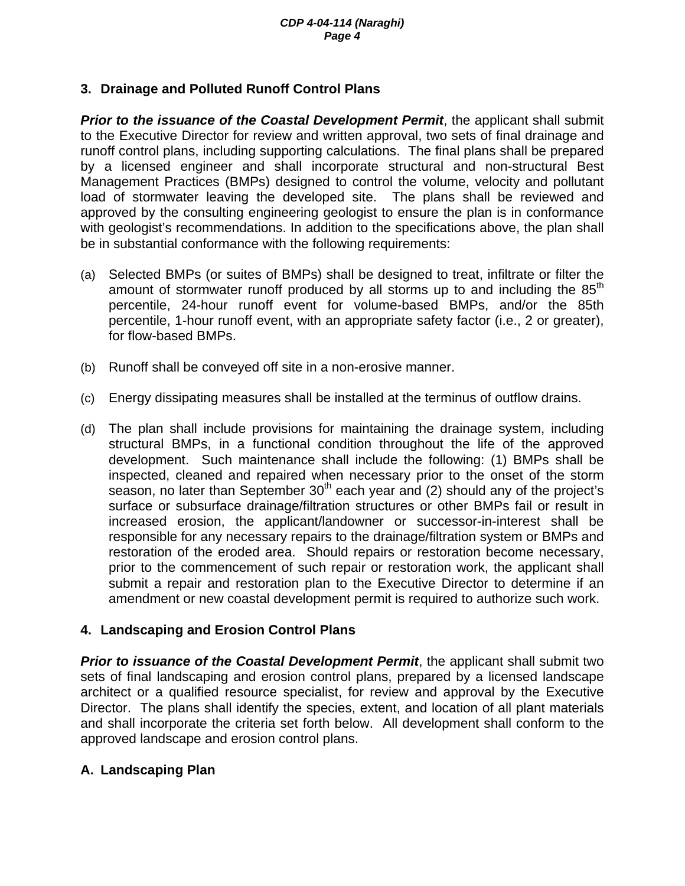## **3. Drainage and Polluted Runoff Control Plans**

**Prior to the issuance of the Coastal Development Permit**, the applicant shall submit to the Executive Director for review and written approval, two sets of final drainage and runoff control plans, including supporting calculations. The final plans shall be prepared by a licensed engineer and shall incorporate structural and non-structural Best Management Practices (BMPs) designed to control the volume, velocity and pollutant load of stormwater leaving the developed site. The plans shall be reviewed and approved by the consulting engineering geologist to ensure the plan is in conformance with geologist's recommendations. In addition to the specifications above, the plan shall be in substantial conformance with the following requirements:

- (a) Selected BMPs (or suites of BMPs) shall be designed to treat, infiltrate or filter the amount of stormwater runoff produced by all storms up to and including the  $85<sup>th</sup>$ percentile, 24-hour runoff event for volume-based BMPs, and/or the 85th percentile, 1-hour runoff event, with an appropriate safety factor (i.e., 2 or greater), for flow-based BMPs.
- (b) Runoff shall be conveyed off site in a non-erosive manner.
- (c) Energy dissipating measures shall be installed at the terminus of outflow drains.
- (d) The plan shall include provisions for maintaining the drainage system, including structural BMPs, in a functional condition throughout the life of the approved development. Such maintenance shall include the following: (1) BMPs shall be inspected, cleaned and repaired when necessary prior to the onset of the storm season, no later than September  $30<sup>th</sup>$  each year and (2) should any of the project's surface or subsurface drainage/filtration structures or other BMPs fail or result in increased erosion, the applicant/landowner or successor-in-interest shall be responsible for any necessary repairs to the drainage/filtration system or BMPs and restoration of the eroded area. Should repairs or restoration become necessary, prior to the commencement of such repair or restoration work, the applicant shall submit a repair and restoration plan to the Executive Director to determine if an amendment or new coastal development permit is required to authorize such work.

### **4. Landscaping and Erosion Control Plans**

*Prior to issuance of the Coastal Development Permit*, the applicant shall submit two sets of final landscaping and erosion control plans, prepared by a licensed landscape architect or a qualified resource specialist, for review and approval by the Executive Director. The plans shall identify the species, extent, and location of all plant materials and shall incorporate the criteria set forth below. All development shall conform to the approved landscape and erosion control plans.

# **A. Landscaping Plan**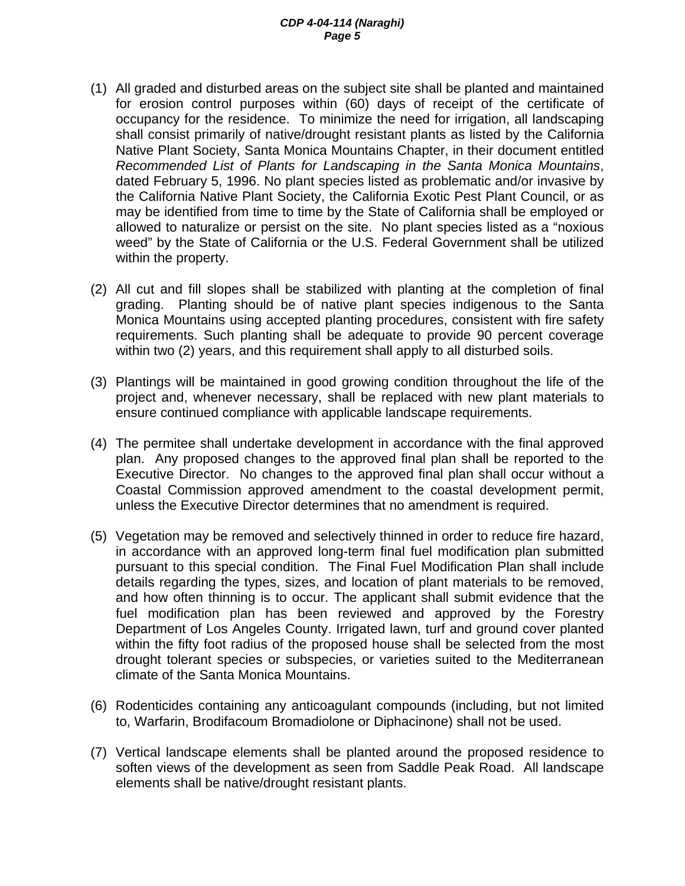#### *CDP 4-04-114 (Naraghi) Page 5*

- (1) All graded and disturbed areas on the subject site shall be planted and maintained for erosion control purposes within (60) days of receipt of the certificate of occupancy for the residence. To minimize the need for irrigation, all landscaping shall consist primarily of native/drought resistant plants as listed by the California Native Plant Society, Santa Monica Mountains Chapter, in their document entitled *Recommended List of Plants for Landscaping in the Santa Monica Mountains*, dated February 5, 1996. No plant species listed as problematic and/or invasive by the California Native Plant Society, the California Exotic Pest Plant Council, or as may be identified from time to time by the State of California shall be employed or allowed to naturalize or persist on the site. No plant species listed as a "noxious weed" by the State of California or the U.S. Federal Government shall be utilized within the property.
- (2) All cut and fill slopes shall be stabilized with planting at the completion of final grading. Planting should be of native plant species indigenous to the Santa Monica Mountains using accepted planting procedures, consistent with fire safety requirements. Such planting shall be adequate to provide 90 percent coverage within two (2) years, and this requirement shall apply to all disturbed soils.
- (3) Plantings will be maintained in good growing condition throughout the life of the project and, whenever necessary, shall be replaced with new plant materials to ensure continued compliance with applicable landscape requirements.
- (4) The permitee shall undertake development in accordance with the final approved plan. Any proposed changes to the approved final plan shall be reported to the Executive Director. No changes to the approved final plan shall occur without a Coastal Commission approved amendment to the coastal development permit, unless the Executive Director determines that no amendment is required.
- (5) Vegetation may be removed and selectively thinned in order to reduce fire hazard, in accordance with an approved long-term final fuel modification plan submitted pursuant to this special condition. The Final Fuel Modification Plan shall include details regarding the types, sizes, and location of plant materials to be removed, and how often thinning is to occur. The applicant shall submit evidence that the fuel modification plan has been reviewed and approved by the Forestry Department of Los Angeles County. Irrigated lawn, turf and ground cover planted within the fifty foot radius of the proposed house shall be selected from the most drought tolerant species or subspecies, or varieties suited to the Mediterranean climate of the Santa Monica Mountains.
- (6) Rodenticides containing any anticoagulant compounds (including, but not limited to, Warfarin, Brodifacoum Bromadiolone or Diphacinone) shall not be used.
- (7) Vertical landscape elements shall be planted around the proposed residence to soften views of the development as seen from Saddle Peak Road. All landscape elements shall be native/drought resistant plants.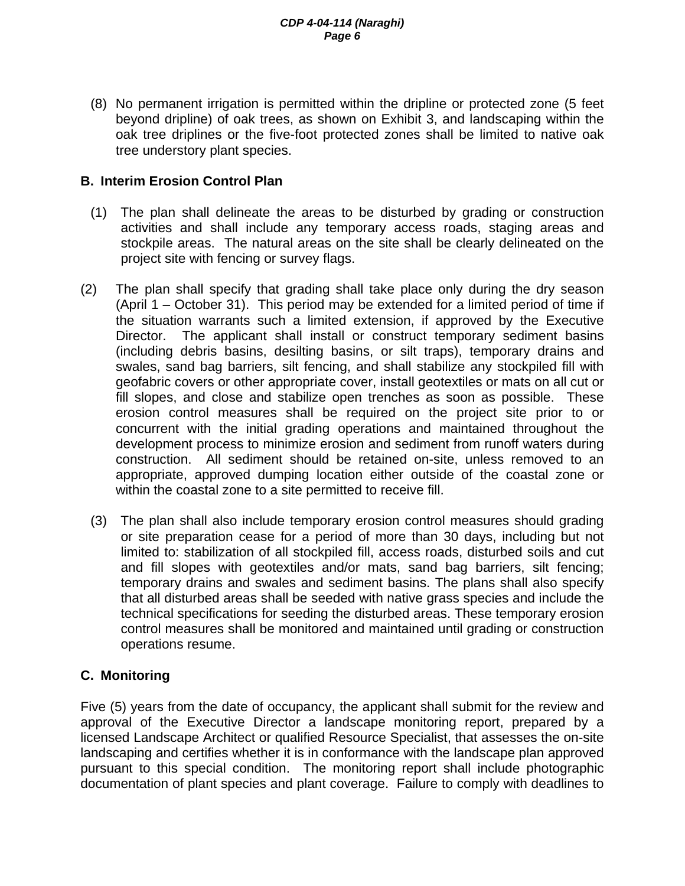(8) No permanent irrigation is permitted within the dripline or protected zone (5 feet beyond dripline) of oak trees, as shown on Exhibit 3, and landscaping within the oak tree driplines or the five-foot protected zones shall be limited to native oak tree understory plant species.

### **B. Interim Erosion Control Plan**

- (1) The plan shall delineate the areas to be disturbed by grading or construction activities and shall include any temporary access roads, staging areas and stockpile areas. The natural areas on the site shall be clearly delineated on the project site with fencing or survey flags.
- (2) The plan shall specify that grading shall take place only during the dry season (April 1 – October 31). This period may be extended for a limited period of time if the situation warrants such a limited extension, if approved by the Executive Director. The applicant shall install or construct temporary sediment basins (including debris basins, desilting basins, or silt traps), temporary drains and swales, sand bag barriers, silt fencing, and shall stabilize any stockpiled fill with geofabric covers or other appropriate cover, install geotextiles or mats on all cut or fill slopes, and close and stabilize open trenches as soon as possible. These erosion control measures shall be required on the project site prior to or concurrent with the initial grading operations and maintained throughout the development process to minimize erosion and sediment from runoff waters during construction. All sediment should be retained on-site, unless removed to an appropriate, approved dumping location either outside of the coastal zone or within the coastal zone to a site permitted to receive fill.
	- (3) The plan shall also include temporary erosion control measures should grading or site preparation cease for a period of more than 30 days, including but not limited to: stabilization of all stockpiled fill, access roads, disturbed soils and cut and fill slopes with geotextiles and/or mats, sand bag barriers, silt fencing; temporary drains and swales and sediment basins. The plans shall also specify that all disturbed areas shall be seeded with native grass species and include the technical specifications for seeding the disturbed areas. These temporary erosion control measures shall be monitored and maintained until grading or construction operations resume.

# **C. Monitoring**

Five (5) years from the date of occupancy, the applicant shall submit for the review and approval of the Executive Director a landscape monitoring report, prepared by a licensed Landscape Architect or qualified Resource Specialist, that assesses the on-site landscaping and certifies whether it is in conformance with the landscape plan approved pursuant to this special condition. The monitoring report shall include photographic documentation of plant species and plant coverage. Failure to comply with deadlines to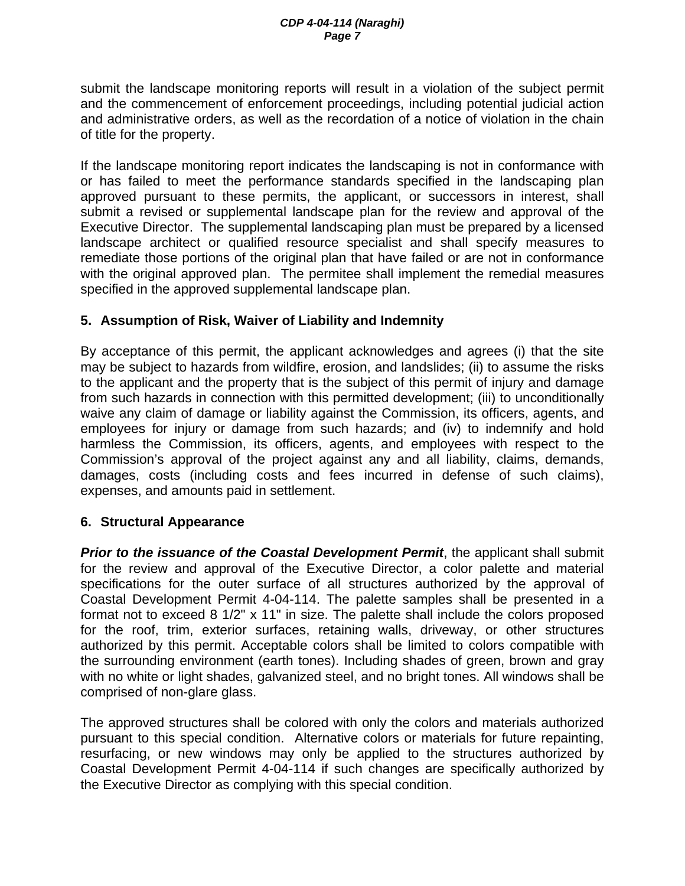submit the landscape monitoring reports will result in a violation of the subject permit and the commencement of enforcement proceedings, including potential judicial action and administrative orders, as well as the recordation of a notice of violation in the chain of title for the property.

If the landscape monitoring report indicates the landscaping is not in conformance with or has failed to meet the performance standards specified in the landscaping plan approved pursuant to these permits, the applicant, or successors in interest, shall submit a revised or supplemental landscape plan for the review and approval of the Executive Director. The supplemental landscaping plan must be prepared by a licensed landscape architect or qualified resource specialist and shall specify measures to remediate those portions of the original plan that have failed or are not in conformance with the original approved plan. The permitee shall implement the remedial measures specified in the approved supplemental landscape plan.

## **5. Assumption of Risk, Waiver of Liability and Indemnity**

By acceptance of this permit, the applicant acknowledges and agrees (i) that the site may be subject to hazards from wildfire, erosion, and landslides; (ii) to assume the risks to the applicant and the property that is the subject of this permit of injury and damage from such hazards in connection with this permitted development; (iii) to unconditionally waive any claim of damage or liability against the Commission, its officers, agents, and employees for injury or damage from such hazards; and (iv) to indemnify and hold harmless the Commission, its officers, agents, and employees with respect to the Commission's approval of the project against any and all liability, claims, demands, damages, costs (including costs and fees incurred in defense of such claims), expenses, and amounts paid in settlement.

### **6. Structural Appearance**

**Prior to the issuance of the Coastal Development Permit**, the applicant shall submit for the review and approval of the Executive Director, a color palette and material specifications for the outer surface of all structures authorized by the approval of Coastal Development Permit 4-04-114. The palette samples shall be presented in a format not to exceed 8 1/2" x 11" in size. The palette shall include the colors proposed for the roof, trim, exterior surfaces, retaining walls, driveway, or other structures authorized by this permit. Acceptable colors shall be limited to colors compatible with the surrounding environment (earth tones). Including shades of green, brown and gray with no white or light shades, galvanized steel, and no bright tones. All windows shall be comprised of non-glare glass.

The approved structures shall be colored with only the colors and materials authorized pursuant to this special condition. Alternative colors or materials for future repainting, resurfacing, or new windows may only be applied to the structures authorized by Coastal Development Permit 4-04-114 if such changes are specifically authorized by the Executive Director as complying with this special condition.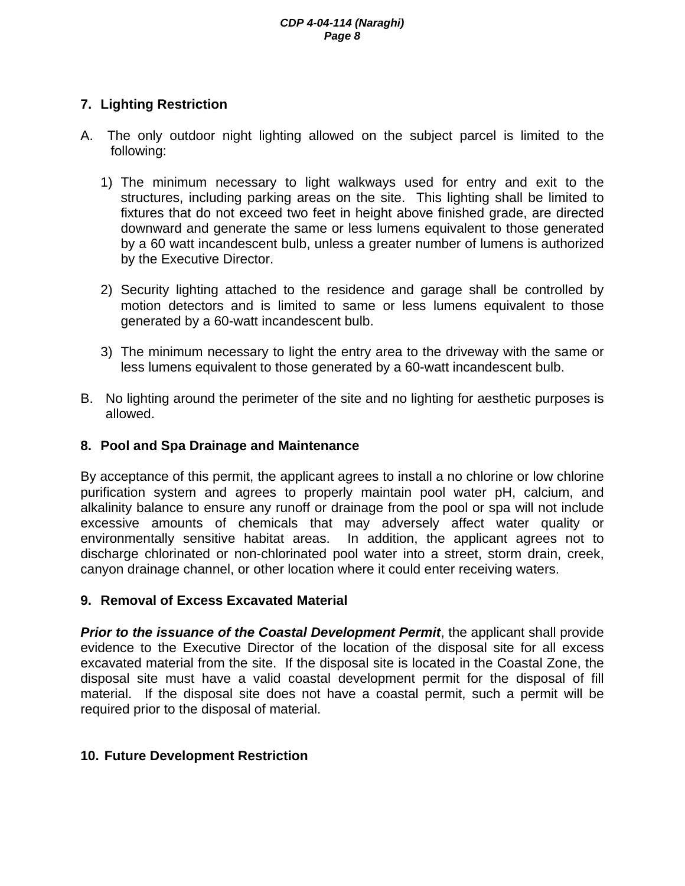# **7. Lighting Restriction**

- A. The only outdoor night lighting allowed on the subject parcel is limited to the following:
	- 1) The minimum necessary to light walkways used for entry and exit to the structures, including parking areas on the site. This lighting shall be limited to fixtures that do not exceed two feet in height above finished grade, are directed downward and generate the same or less lumens equivalent to those generated by a 60 watt incandescent bulb, unless a greater number of lumens is authorized by the Executive Director.
	- 2) Security lighting attached to the residence and garage shall be controlled by motion detectors and is limited to same or less lumens equivalent to those generated by a 60-watt incandescent bulb.
	- 3) The minimum necessary to light the entry area to the driveway with the same or less lumens equivalent to those generated by a 60-watt incandescent bulb.
- B. No lighting around the perimeter of the site and no lighting for aesthetic purposes is allowed.

# **8. Pool and Spa Drainage and Maintenance**

By acceptance of this permit, the applicant agrees to install a no chlorine or low chlorine purification system and agrees to properly maintain pool water pH, calcium, and alkalinity balance to ensure any runoff or drainage from the pool or spa will not include excessive amounts of chemicals that may adversely affect water quality or environmentally sensitive habitat areas. In addition, the applicant agrees not to discharge chlorinated or non-chlorinated pool water into a street, storm drain, creek, canyon drainage channel, or other location where it could enter receiving waters.

### **9. Removal of Excess Excavated Material**

**Prior to the issuance of the Coastal Development Permit, the applicant shall provide** evidence to the Executive Director of the location of the disposal site for all excess excavated material from the site. If the disposal site is located in the Coastal Zone, the disposal site must have a valid coastal development permit for the disposal of fill material. If the disposal site does not have a coastal permit, such a permit will be required prior to the disposal of material.

### **10. Future Development Restriction**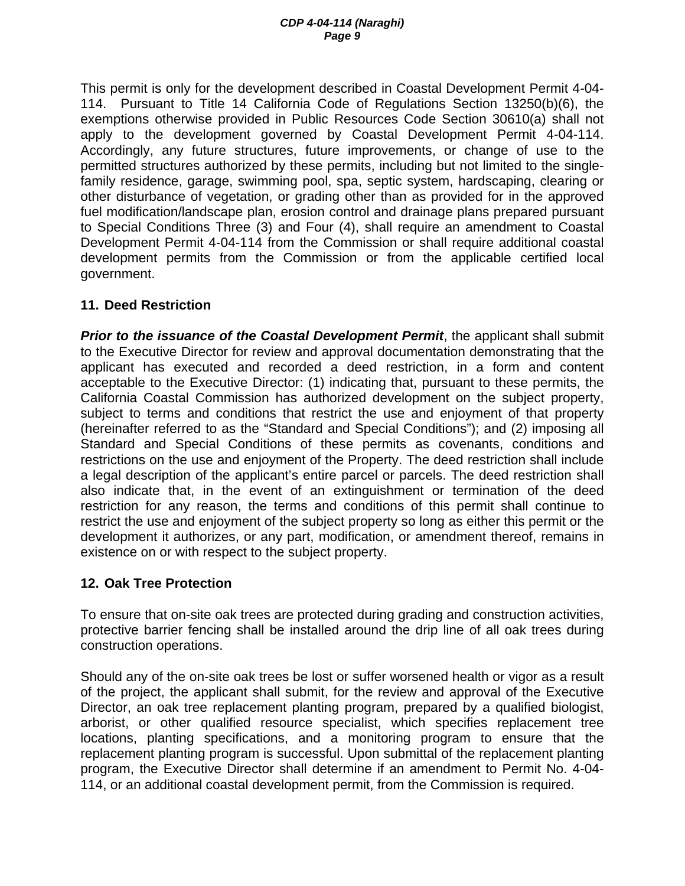This permit is only for the development described in Coastal Development Permit 4-04- 114. Pursuant to Title 14 California Code of Regulations Section 13250(b)(6), the exemptions otherwise provided in Public Resources Code Section 30610(a) shall not apply to the development governed by Coastal Development Permit 4-04-114. Accordingly, any future structures, future improvements, or change of use to the permitted structures authorized by these permits, including but not limited to the singlefamily residence, garage, swimming pool, spa, septic system, hardscaping, clearing or other disturbance of vegetation, or grading other than as provided for in the approved fuel modification/landscape plan, erosion control and drainage plans prepared pursuant to Special Conditions Three (3) and Four (4), shall require an amendment to Coastal Development Permit 4-04-114 from the Commission or shall require additional coastal development permits from the Commission or from the applicable certified local government.

# **11. Deed Restriction**

**Prior to the issuance of the Coastal Development Permit**, the applicant shall submit to the Executive Director for review and approval documentation demonstrating that the applicant has executed and recorded a deed restriction, in a form and content acceptable to the Executive Director: (1) indicating that, pursuant to these permits, the California Coastal Commission has authorized development on the subject property, subject to terms and conditions that restrict the use and enjoyment of that property (hereinafter referred to as the "Standard and Special Conditions"); and (2) imposing all Standard and Special Conditions of these permits as covenants, conditions and restrictions on the use and enjoyment of the Property. The deed restriction shall include a legal description of the applicant's entire parcel or parcels. The deed restriction shall also indicate that, in the event of an extinguishment or termination of the deed restriction for any reason, the terms and conditions of this permit shall continue to restrict the use and enjoyment of the subject property so long as either this permit or the development it authorizes, or any part, modification, or amendment thereof, remains in existence on or with respect to the subject property.

### **12. Oak Tree Protection**

To ensure that on-site oak trees are protected during grading and construction activities, protective barrier fencing shall be installed around the drip line of all oak trees during construction operations.

Should any of the on-site oak trees be lost or suffer worsened health or vigor as a result of the project, the applicant shall submit, for the review and approval of the Executive Director, an oak tree replacement planting program, prepared by a qualified biologist, arborist, or other qualified resource specialist, which specifies replacement tree locations, planting specifications, and a monitoring program to ensure that the replacement planting program is successful. Upon submittal of the replacement planting program, the Executive Director shall determine if an amendment to Permit No. 4-04- 114, or an additional coastal development permit, from the Commission is required.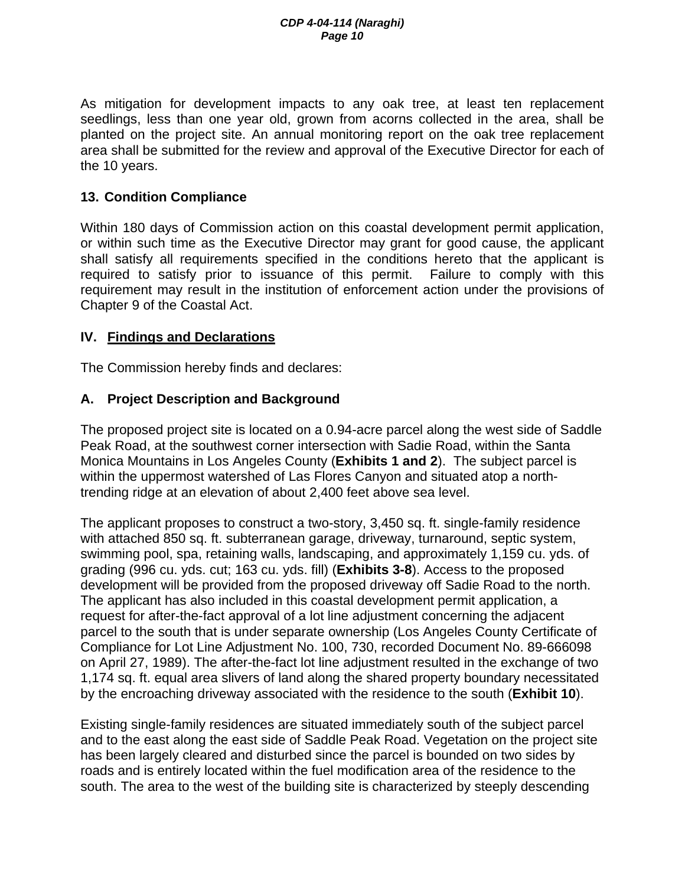As mitigation for development impacts to any oak tree, at least ten replacement seedlings, less than one year old, grown from acorns collected in the area, shall be planted on the project site. An annual monitoring report on the oak tree replacement area shall be submitted for the review and approval of the Executive Director for each of the 10 years.

#### **13. Condition Compliance**

Within 180 days of Commission action on this coastal development permit application, or within such time as the Executive Director may grant for good cause, the applicant shall satisfy all requirements specified in the conditions hereto that the applicant is required to satisfy prior to issuance of this permit. Failure to comply with this requirement may result in the institution of enforcement action under the provisions of Chapter 9 of the Coastal Act.

#### **IV. Findings and Declarations**

The Commission hereby finds and declares:

### **A. Project Description and Background**

The proposed project site is located on a 0.94-acre parcel along the west side of Saddle Peak Road, at the southwest corner intersection with Sadie Road, within the Santa Monica Mountains in Los Angeles County (**Exhibits 1 and 2**). The subject parcel is within the uppermost watershed of Las Flores Canyon and situated atop a northtrending ridge at an elevation of about 2,400 feet above sea level.

The applicant proposes to construct a two-story, 3,450 sq. ft. single-family residence with attached 850 sq. ft. subterranean garage, driveway, turnaround, septic system, swimming pool, spa, retaining walls, landscaping, and approximately 1,159 cu. yds. of grading (996 cu. yds. cut; 163 cu. yds. fill) (**Exhibits 3-8**). Access to the proposed development will be provided from the proposed driveway off Sadie Road to the north. The applicant has also included in this coastal development permit application, a request for after-the-fact approval of a lot line adjustment concerning the adjacent parcel to the south that is under separate ownership (Los Angeles County Certificate of Compliance for Lot Line Adjustment No. 100, 730, recorded Document No. 89-666098 on April 27, 1989). The after-the-fact lot line adjustment resulted in the exchange of two 1,174 sq. ft. equal area slivers of land along the shared property boundary necessitated by the encroaching driveway associated with the residence to the south (**Exhibit 10**).

Existing single-family residences are situated immediately south of the subject parcel and to the east along the east side of Saddle Peak Road. Vegetation on the project site has been largely cleared and disturbed since the parcel is bounded on two sides by roads and is entirely located within the fuel modification area of the residence to the south. The area to the west of the building site is characterized by steeply descending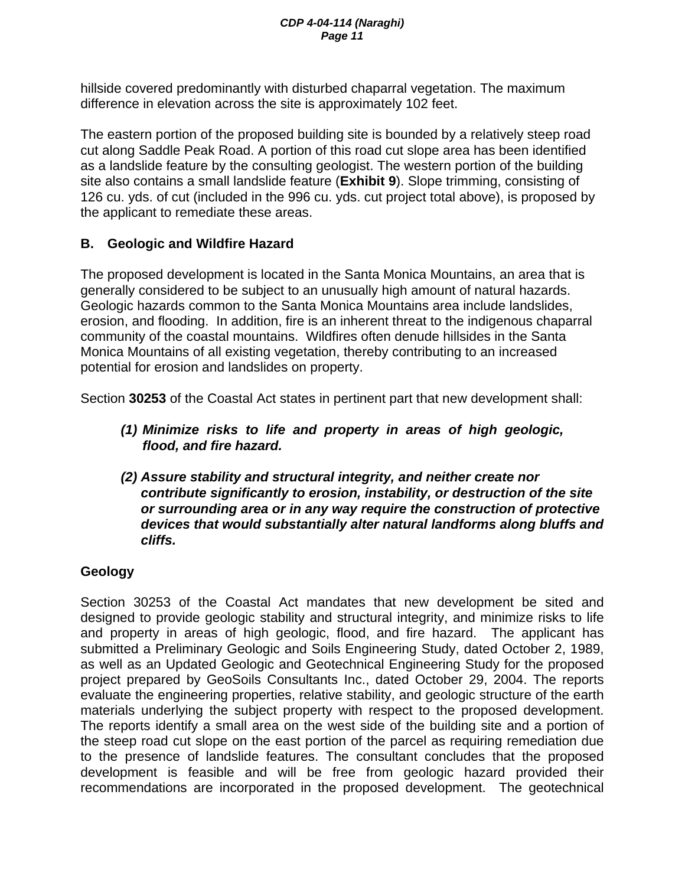hillside covered predominantly with disturbed chaparral vegetation. The maximum difference in elevation across the site is approximately 102 feet.

The eastern portion of the proposed building site is bounded by a relatively steep road cut along Saddle Peak Road. A portion of this road cut slope area has been identified as a landslide feature by the consulting geologist. The western portion of the building site also contains a small landslide feature (**Exhibit 9**). Slope trimming, consisting of 126 cu. yds. of cut (included in the 996 cu. yds. cut project total above), is proposed by the applicant to remediate these areas.

# **B. Geologic and Wildfire Hazard**

The proposed development is located in the Santa Monica Mountains, an area that is generally considered to be subject to an unusually high amount of natural hazards. Geologic hazards common to the Santa Monica Mountains area include landslides, erosion, and flooding. In addition, fire is an inherent threat to the indigenous chaparral community of the coastal mountains. Wildfires often denude hillsides in the Santa Monica Mountains of all existing vegetation, thereby contributing to an increased potential for erosion and landslides on property.

Section **30253** of the Coastal Act states in pertinent part that new development shall:

- *(1) Minimize risks to life and property in areas of high geologic, flood, and fire hazard.*
- *(2) Assure stability and structural integrity, and neither create nor contribute significantly to erosion, instability, or destruction of the site or surrounding area or in any way require the construction of protective devices that would substantially alter natural landforms along bluffs and cliffs.*

# **Geology**

Section 30253 of the Coastal Act mandates that new development be sited and designed to provide geologic stability and structural integrity, and minimize risks to life and property in areas of high geologic, flood, and fire hazard. The applicant has submitted a Preliminary Geologic and Soils Engineering Study, dated October 2, 1989, as well as an Updated Geologic and Geotechnical Engineering Study for the proposed project prepared by GeoSoils Consultants Inc., dated October 29, 2004. The reports evaluate the engineering properties, relative stability, and geologic structure of the earth materials underlying the subject property with respect to the proposed development. The reports identify a small area on the west side of the building site and a portion of the steep road cut slope on the east portion of the parcel as requiring remediation due to the presence of landslide features. The consultant concludes that the proposed development is feasible and will be free from geologic hazard provided their recommendations are incorporated in the proposed development. The geotechnical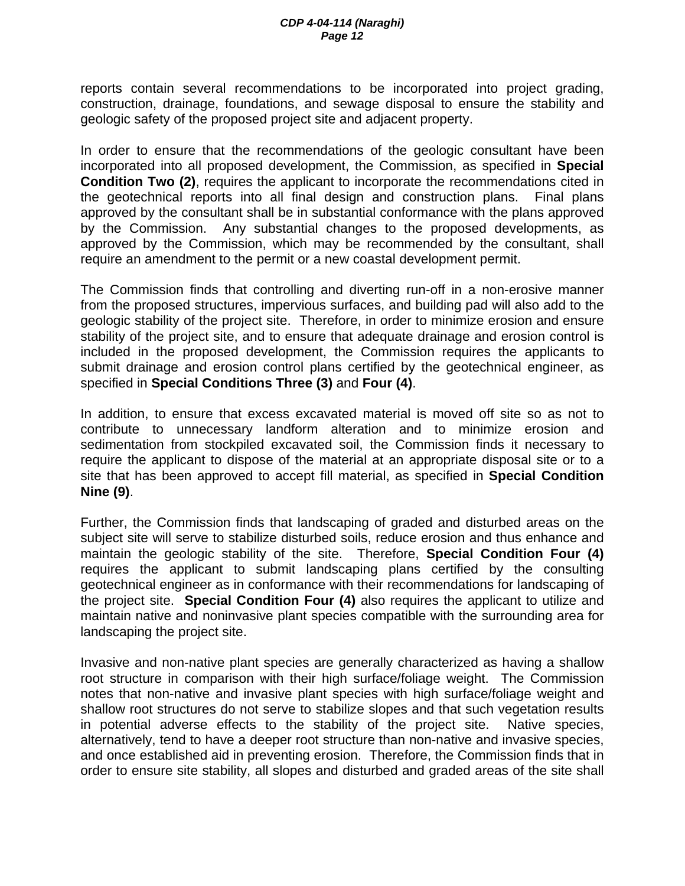reports contain several recommendations to be incorporated into project grading, construction, drainage, foundations, and sewage disposal to ensure the stability and geologic safety of the proposed project site and adjacent property.

In order to ensure that the recommendations of the geologic consultant have been incorporated into all proposed development, the Commission, as specified in **Special Condition Two (2)**, requires the applicant to incorporate the recommendations cited in the geotechnical reports into all final design and construction plans. Final plans approved by the consultant shall be in substantial conformance with the plans approved by the Commission. Any substantial changes to the proposed developments, as approved by the Commission, which may be recommended by the consultant, shall require an amendment to the permit or a new coastal development permit.

The Commission finds that controlling and diverting run-off in a non-erosive manner from the proposed structures, impervious surfaces, and building pad will also add to the geologic stability of the project site. Therefore, in order to minimize erosion and ensure stability of the project site, and to ensure that adequate drainage and erosion control is included in the proposed development, the Commission requires the applicants to submit drainage and erosion control plans certified by the geotechnical engineer, as specified in **Special Conditions Three (3)** and **Four (4)**.

In addition, to ensure that excess excavated material is moved off site so as not to contribute to unnecessary landform alteration and to minimize erosion and sedimentation from stockpiled excavated soil, the Commission finds it necessary to require the applicant to dispose of the material at an appropriate disposal site or to a site that has been approved to accept fill material, as specified in **Special Condition Nine (9)**.

Further, the Commission finds that landscaping of graded and disturbed areas on the subject site will serve to stabilize disturbed soils, reduce erosion and thus enhance and maintain the geologic stability of the site. Therefore, **Special Condition Four (4)**  requires the applicant to submit landscaping plans certified by the consulting geotechnical engineer as in conformance with their recommendations for landscaping of the project site. **Special Condition Four (4)** also requires the applicant to utilize and maintain native and noninvasive plant species compatible with the surrounding area for landscaping the project site.

Invasive and non-native plant species are generally characterized as having a shallow root structure in comparison with their high surface/foliage weight. The Commission notes that non-native and invasive plant species with high surface/foliage weight and shallow root structures do not serve to stabilize slopes and that such vegetation results in potential adverse effects to the stability of the project site. Native species, alternatively, tend to have a deeper root structure than non-native and invasive species, and once established aid in preventing erosion. Therefore, the Commission finds that in order to ensure site stability, all slopes and disturbed and graded areas of the site shall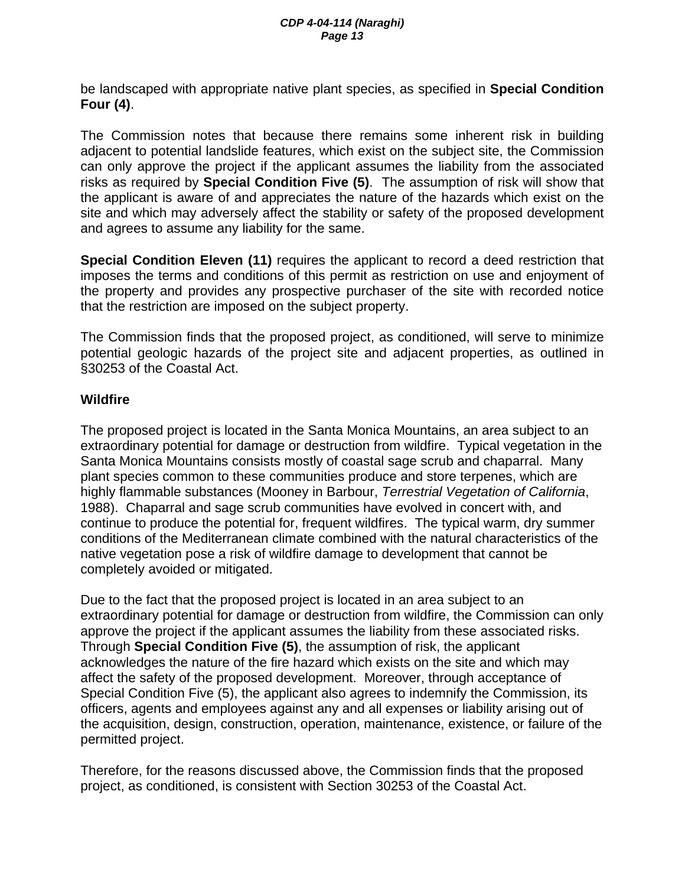be landscaped with appropriate native plant species, as specified in **Special Condition Four (4)**.

The Commission notes that because there remains some inherent risk in building adjacent to potential landslide features, which exist on the subject site, the Commission can only approve the project if the applicant assumes the liability from the associated risks as required by **Special Condition Five (5)**. The assumption of risk will show that the applicant is aware of and appreciates the nature of the hazards which exist on the site and which may adversely affect the stability or safety of the proposed development and agrees to assume any liability for the same.

**Special Condition Eleven (11)** requires the applicant to record a deed restriction that imposes the terms and conditions of this permit as restriction on use and enjoyment of the property and provides any prospective purchaser of the site with recorded notice that the restriction are imposed on the subject property.

The Commission finds that the proposed project, as conditioned, will serve to minimize potential geologic hazards of the project site and adjacent properties, as outlined in §30253 of the Coastal Act.

## **Wildfire**

The proposed project is located in the Santa Monica Mountains, an area subject to an extraordinary potential for damage or destruction from wildfire. Typical vegetation in the Santa Monica Mountains consists mostly of coastal sage scrub and chaparral. Many plant species common to these communities produce and store terpenes, which are highly flammable substances (Mooney in Barbour, *Terrestrial Vegetation of California*, 1988). Chaparral and sage scrub communities have evolved in concert with, and continue to produce the potential for, frequent wildfires. The typical warm, dry summer conditions of the Mediterranean climate combined with the natural characteristics of the native vegetation pose a risk of wildfire damage to development that cannot be completely avoided or mitigated.

Due to the fact that the proposed project is located in an area subject to an extraordinary potential for damage or destruction from wildfire, the Commission can only approve the project if the applicant assumes the liability from these associated risks. Through **Special Condition Five (5)**, the assumption of risk, the applicant acknowledges the nature of the fire hazard which exists on the site and which may affect the safety of the proposed development. Moreover, through acceptance of Special Condition Five (5), the applicant also agrees to indemnify the Commission, its officers, agents and employees against any and all expenses or liability arising out of the acquisition, design, construction, operation, maintenance, existence, or failure of the permitted project.

Therefore, for the reasons discussed above, the Commission finds that the proposed project, as conditioned, is consistent with Section 30253 of the Coastal Act.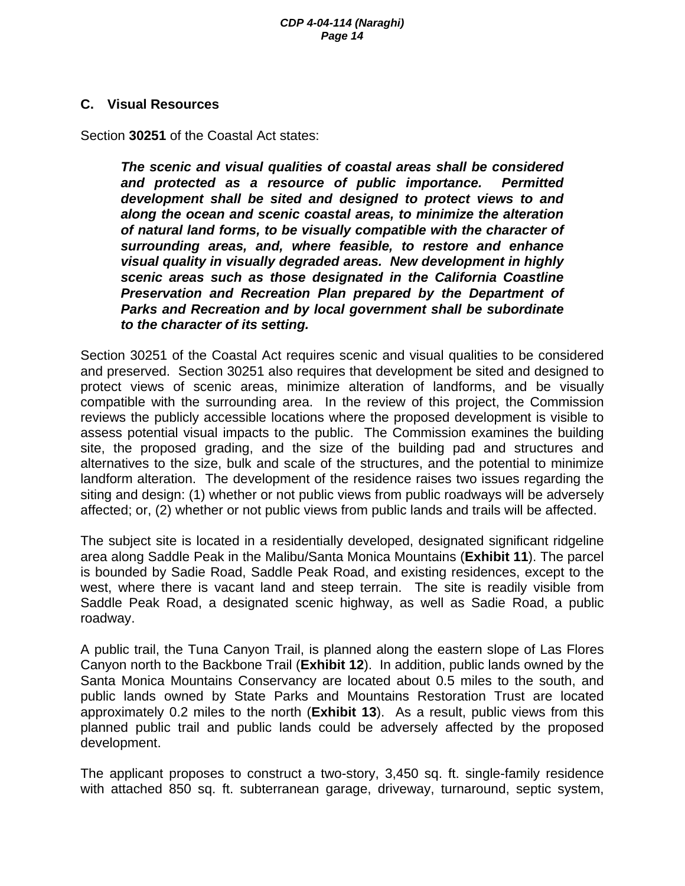#### **C. Visual Resources**

Section **30251** of the Coastal Act states:

*The scenic and visual qualities of coastal areas shall be considered and protected as a resource of public importance. Permitted development shall be sited and designed to protect views to and along the ocean and scenic coastal areas, to minimize the alteration of natural land forms, to be visually compatible with the character of surrounding areas, and, where feasible, to restore and enhance visual quality in visually degraded areas. New development in highly scenic areas such as those designated in the California Coastline Preservation and Recreation Plan prepared by the Department of Parks and Recreation and by local government shall be subordinate to the character of its setting.* 

Section 30251 of the Coastal Act requires scenic and visual qualities to be considered and preserved. Section 30251 also requires that development be sited and designed to protect views of scenic areas, minimize alteration of landforms, and be visually compatible with the surrounding area. In the review of this project, the Commission reviews the publicly accessible locations where the proposed development is visible to assess potential visual impacts to the public. The Commission examines the building site, the proposed grading, and the size of the building pad and structures and alternatives to the size, bulk and scale of the structures, and the potential to minimize landform alteration. The development of the residence raises two issues regarding the siting and design: (1) whether or not public views from public roadways will be adversely affected; or, (2) whether or not public views from public lands and trails will be affected.

The subject site is located in a residentially developed, designated significant ridgeline area along Saddle Peak in the Malibu/Santa Monica Mountains (**Exhibit 11**). The parcel is bounded by Sadie Road, Saddle Peak Road, and existing residences, except to the west, where there is vacant land and steep terrain. The site is readily visible from Saddle Peak Road, a designated scenic highway, as well as Sadie Road, a public roadway.

A public trail, the Tuna Canyon Trail, is planned along the eastern slope of Las Flores Canyon north to the Backbone Trail (**Exhibit 12**). In addition, public lands owned by the Santa Monica Mountains Conservancy are located about 0.5 miles to the south, and public lands owned by State Parks and Mountains Restoration Trust are located approximately 0.2 miles to the north (**Exhibit 13**). As a result, public views from this planned public trail and public lands could be adversely affected by the proposed development.

The applicant proposes to construct a two-story, 3,450 sq. ft. single-family residence with attached 850 sq. ft. subterranean garage, driveway, turnaround, septic system,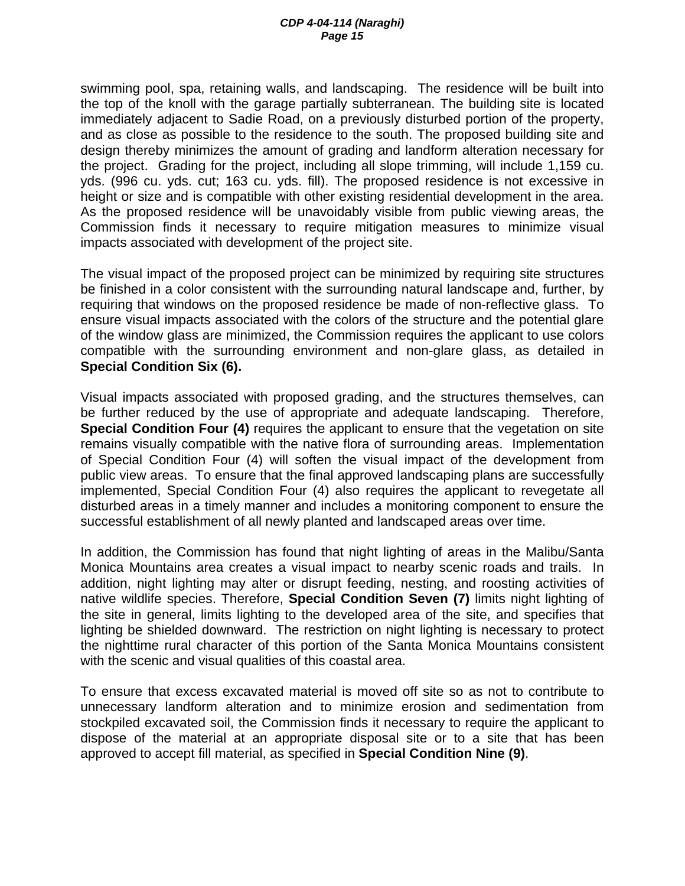swimming pool, spa, retaining walls, and landscaping. The residence will be built into the top of the knoll with the garage partially subterranean. The building site is located immediately adjacent to Sadie Road, on a previously disturbed portion of the property, and as close as possible to the residence to the south. The proposed building site and design thereby minimizes the amount of grading and landform alteration necessary for the project. Grading for the project, including all slope trimming, will include 1,159 cu. yds. (996 cu. yds. cut; 163 cu. yds. fill). The proposed residence is not excessive in height or size and is compatible with other existing residential development in the area. As the proposed residence will be unavoidably visible from public viewing areas, the Commission finds it necessary to require mitigation measures to minimize visual impacts associated with development of the project site.

The visual impact of the proposed project can be minimized by requiring site structures be finished in a color consistent with the surrounding natural landscape and, further, by requiring that windows on the proposed residence be made of non-reflective glass. To ensure visual impacts associated with the colors of the structure and the potential glare of the window glass are minimized, the Commission requires the applicant to use colors compatible with the surrounding environment and non-glare glass, as detailed in **Special Condition Six (6).** 

Visual impacts associated with proposed grading, and the structures themselves, can be further reduced by the use of appropriate and adequate landscaping. Therefore, **Special Condition Four (4)** requires the applicant to ensure that the vegetation on site remains visually compatible with the native flora of surrounding areas. Implementation of Special Condition Four (4) will soften the visual impact of the development from public view areas. To ensure that the final approved landscaping plans are successfully implemented, Special Condition Four (4) also requires the applicant to revegetate all disturbed areas in a timely manner and includes a monitoring component to ensure the successful establishment of all newly planted and landscaped areas over time.

In addition, the Commission has found that night lighting of areas in the Malibu/Santa Monica Mountains area creates a visual impact to nearby scenic roads and trails. In addition, night lighting may alter or disrupt feeding, nesting, and roosting activities of native wildlife species. Therefore, **Special Condition Seven (7)** limits night lighting of the site in general, limits lighting to the developed area of the site, and specifies that lighting be shielded downward. The restriction on night lighting is necessary to protect the nighttime rural character of this portion of the Santa Monica Mountains consistent with the scenic and visual qualities of this coastal area.

To ensure that excess excavated material is moved off site so as not to contribute to unnecessary landform alteration and to minimize erosion and sedimentation from stockpiled excavated soil, the Commission finds it necessary to require the applicant to dispose of the material at an appropriate disposal site or to a site that has been approved to accept fill material, as specified in **Special Condition Nine (9)**.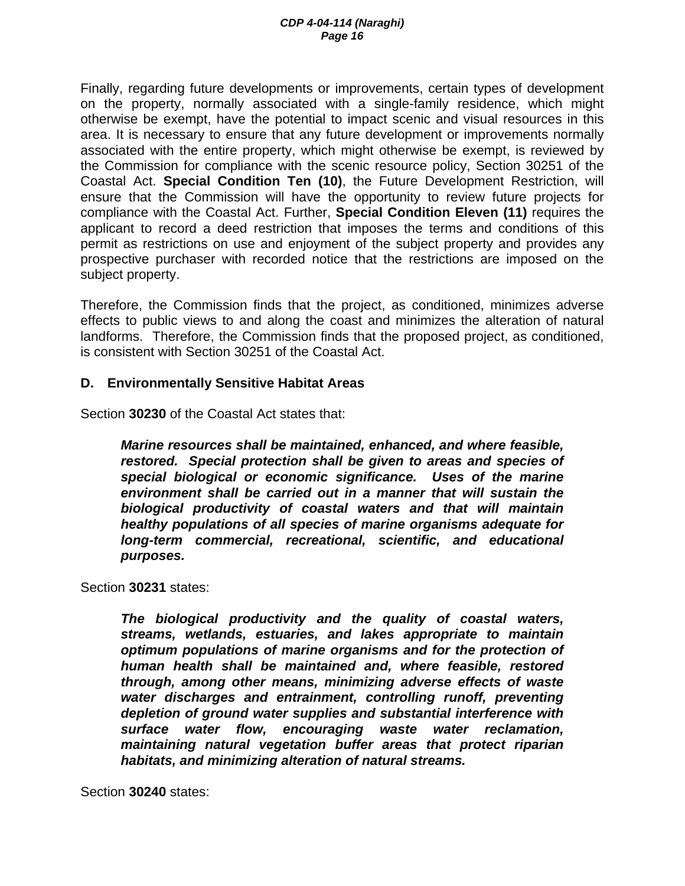Finally, regarding future developments or improvements, certain types of development on the property, normally associated with a single-family residence, which might otherwise be exempt, have the potential to impact scenic and visual resources in this area. It is necessary to ensure that any future development or improvements normally associated with the entire property, which might otherwise be exempt, is reviewed by the Commission for compliance with the scenic resource policy, Section 30251 of the Coastal Act. **Special Condition Ten (10)**, the Future Development Restriction, will ensure that the Commission will have the opportunity to review future projects for compliance with the Coastal Act. Further, **Special Condition Eleven (11)** requires the applicant to record a deed restriction that imposes the terms and conditions of this permit as restrictions on use and enjoyment of the subject property and provides any prospective purchaser with recorded notice that the restrictions are imposed on the subject property.

Therefore, the Commission finds that the project, as conditioned, minimizes adverse effects to public views to and along the coast and minimizes the alteration of natural landforms. Therefore, the Commission finds that the proposed project, as conditioned, is consistent with Section 30251 of the Coastal Act.

### **D. Environmentally Sensitive Habitat Areas**

Section **30230** of the Coastal Act states that:

*Marine resources shall be maintained, enhanced, and where feasible, restored. Special protection shall be given to areas and species of special biological or economic significance. Uses of the marine environment shall be carried out in a manner that will sustain the biological productivity of coastal waters and that will maintain healthy populations of all species of marine organisms adequate for long-term commercial, recreational, scientific, and educational purposes.* 

Section **30231** states:

*The biological productivity and the quality of coastal waters, streams, wetlands, estuaries, and lakes appropriate to maintain optimum populations of marine organisms and for the protection of human health shall be maintained and, where feasible, restored through, among other means, minimizing adverse effects of waste water discharges and entrainment, controlling runoff, preventing depletion of ground water supplies and substantial interference with surface water flow, encouraging waste water reclamation, maintaining natural vegetation buffer areas that protect riparian habitats, and minimizing alteration of natural streams.* 

Section **30240** states: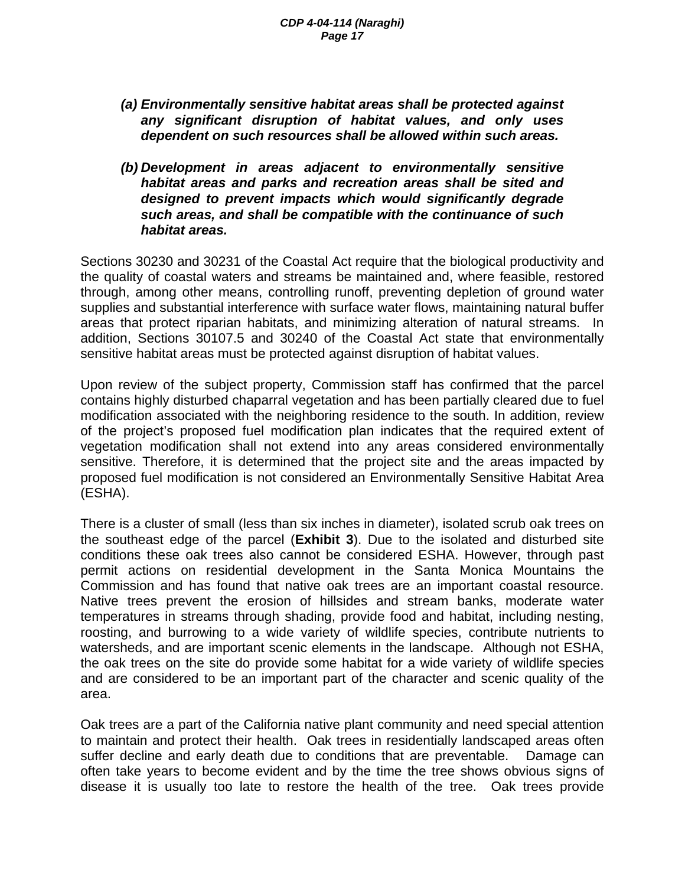- *(a) Environmentally sensitive habitat areas shall be protected against any significant disruption of habitat values, and only uses dependent on such resources shall be allowed within such areas.*
- *(b) Development in areas adjacent to environmentally sensitive habitat areas and parks and recreation areas shall be sited and designed to prevent impacts which would significantly degrade such areas, and shall be compatible with the continuance of such habitat areas.*

Sections 30230 and 30231 of the Coastal Act require that the biological productivity and the quality of coastal waters and streams be maintained and, where feasible, restored through, among other means, controlling runoff, preventing depletion of ground water supplies and substantial interference with surface water flows, maintaining natural buffer areas that protect riparian habitats, and minimizing alteration of natural streams. In addition, Sections 30107.5 and 30240 of the Coastal Act state that environmentally sensitive habitat areas must be protected against disruption of habitat values.

Upon review of the subject property, Commission staff has confirmed that the parcel contains highly disturbed chaparral vegetation and has been partially cleared due to fuel modification associated with the neighboring residence to the south. In addition, review of the project's proposed fuel modification plan indicates that the required extent of vegetation modification shall not extend into any areas considered environmentally sensitive. Therefore, it is determined that the project site and the areas impacted by proposed fuel modification is not considered an Environmentally Sensitive Habitat Area (ESHA).

There is a cluster of small (less than six inches in diameter), isolated scrub oak trees on the southeast edge of the parcel (**Exhibit 3**). Due to the isolated and disturbed site conditions these oak trees also cannot be considered ESHA. However, through past permit actions on residential development in the Santa Monica Mountains the Commission and has found that native oak trees are an important coastal resource. Native trees prevent the erosion of hillsides and stream banks, moderate water temperatures in streams through shading, provide food and habitat, including nesting, roosting, and burrowing to a wide variety of wildlife species, contribute nutrients to watersheds, and are important scenic elements in the landscape. Although not ESHA, the oak trees on the site do provide some habitat for a wide variety of wildlife species and are considered to be an important part of the character and scenic quality of the area.

Oak trees are a part of the California native plant community and need special attention to maintain and protect their health. Oak trees in residentially landscaped areas often suffer decline and early death due to conditions that are preventable. Damage can often take years to become evident and by the time the tree shows obvious signs of disease it is usually too late to restore the health of the tree. Oak trees provide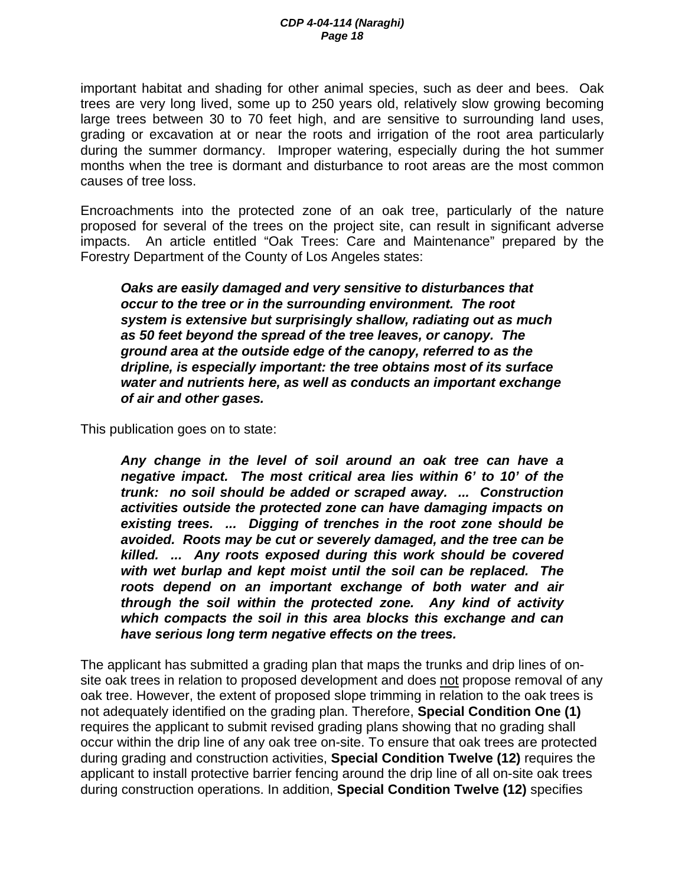important habitat and shading for other animal species, such as deer and bees. Oak trees are very long lived, some up to 250 years old, relatively slow growing becoming large trees between 30 to 70 feet high, and are sensitive to surrounding land uses, grading or excavation at or near the roots and irrigation of the root area particularly during the summer dormancy. Improper watering, especially during the hot summer months when the tree is dormant and disturbance to root areas are the most common causes of tree loss.

Encroachments into the protected zone of an oak tree, particularly of the nature proposed for several of the trees on the project site, can result in significant adverse impacts. An article entitled "Oak Trees: Care and Maintenance" prepared by the Forestry Department of the County of Los Angeles states:

*Oaks are easily damaged and very sensitive to disturbances that occur to the tree or in the surrounding environment. The root system is extensive but surprisingly shallow, radiating out as much as 50 feet beyond the spread of the tree leaves, or canopy. The ground area at the outside edge of the canopy, referred to as the dripline, is especially important: the tree obtains most of its surface water and nutrients here, as well as conducts an important exchange of air and other gases.* 

This publication goes on to state:

*Any change in the level of soil around an oak tree can have a negative impact. The most critical area lies within 6' to 10' of the trunk: no soil should be added or scraped away. ... Construction activities outside the protected zone can have damaging impacts on existing trees. ... Digging of trenches in the root zone should be avoided. Roots may be cut or severely damaged, and the tree can be killed. ... Any roots exposed during this work should be covered with wet burlap and kept moist until the soil can be replaced. The roots depend on an important exchange of both water and air through the soil within the protected zone. Any kind of activity which compacts the soil in this area blocks this exchange and can have serious long term negative effects on the trees.* 

The applicant has submitted a grading plan that maps the trunks and drip lines of onsite oak trees in relation to proposed development and does not propose removal of any oak tree. However, the extent of proposed slope trimming in relation to the oak trees is not adequately identified on the grading plan. Therefore, **Special Condition One (1)** requires the applicant to submit revised grading plans showing that no grading shall occur within the drip line of any oak tree on-site. To ensure that oak trees are protected during grading and construction activities, **Special Condition Twelve (12)** requires the applicant to install protective barrier fencing around the drip line of all on-site oak trees during construction operations. In addition, **Special Condition Twelve (12)** specifies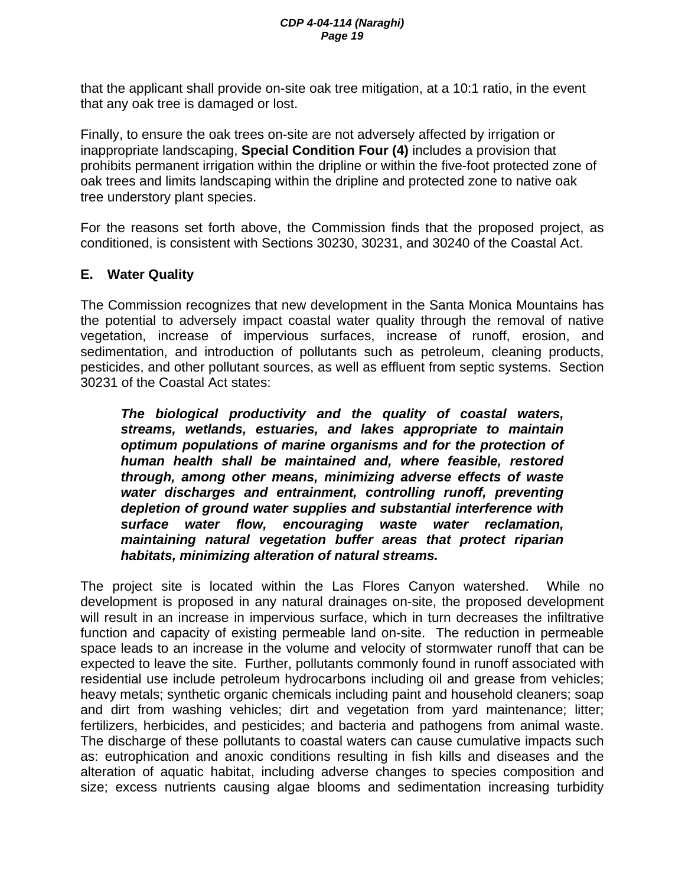that the applicant shall provide on-site oak tree mitigation, at a 10:1 ratio, in the event that any oak tree is damaged or lost.

Finally, to ensure the oak trees on-site are not adversely affected by irrigation or inappropriate landscaping, **Special Condition Four (4)** includes a provision that prohibits permanent irrigation within the dripline or within the five-foot protected zone of oak trees and limits landscaping within the dripline and protected zone to native oak tree understory plant species.

For the reasons set forth above, the Commission finds that the proposed project, as conditioned, is consistent with Sections 30230, 30231, and 30240 of the Coastal Act.

## **E. Water Quality**

The Commission recognizes that new development in the Santa Monica Mountains has the potential to adversely impact coastal water quality through the removal of native vegetation, increase of impervious surfaces, increase of runoff, erosion, and sedimentation, and introduction of pollutants such as petroleum, cleaning products, pesticides, and other pollutant sources, as well as effluent from septic systems. Section 30231 of the Coastal Act states:

*The biological productivity and the quality of coastal waters, streams, wetlands, estuaries, and lakes appropriate to maintain optimum populations of marine organisms and for the protection of human health shall be maintained and, where feasible, restored through, among other means, minimizing adverse effects of waste water discharges and entrainment, controlling runoff, preventing depletion of ground water supplies and substantial interference with surface water flow, encouraging waste water reclamation, maintaining natural vegetation buffer areas that protect riparian habitats, minimizing alteration of natural streams.* 

The project site is located within the Las Flores Canyon watershed. While no development is proposed in any natural drainages on-site, the proposed development will result in an increase in impervious surface, which in turn decreases the infiltrative function and capacity of existing permeable land on-site. The reduction in permeable space leads to an increase in the volume and velocity of stormwater runoff that can be expected to leave the site. Further, pollutants commonly found in runoff associated with residential use include petroleum hydrocarbons including oil and grease from vehicles; heavy metals; synthetic organic chemicals including paint and household cleaners; soap and dirt from washing vehicles; dirt and vegetation from yard maintenance; litter; fertilizers, herbicides, and pesticides; and bacteria and pathogens from animal waste. The discharge of these pollutants to coastal waters can cause cumulative impacts such as: eutrophication and anoxic conditions resulting in fish kills and diseases and the alteration of aquatic habitat, including adverse changes to species composition and size; excess nutrients causing algae blooms and sedimentation increasing turbidity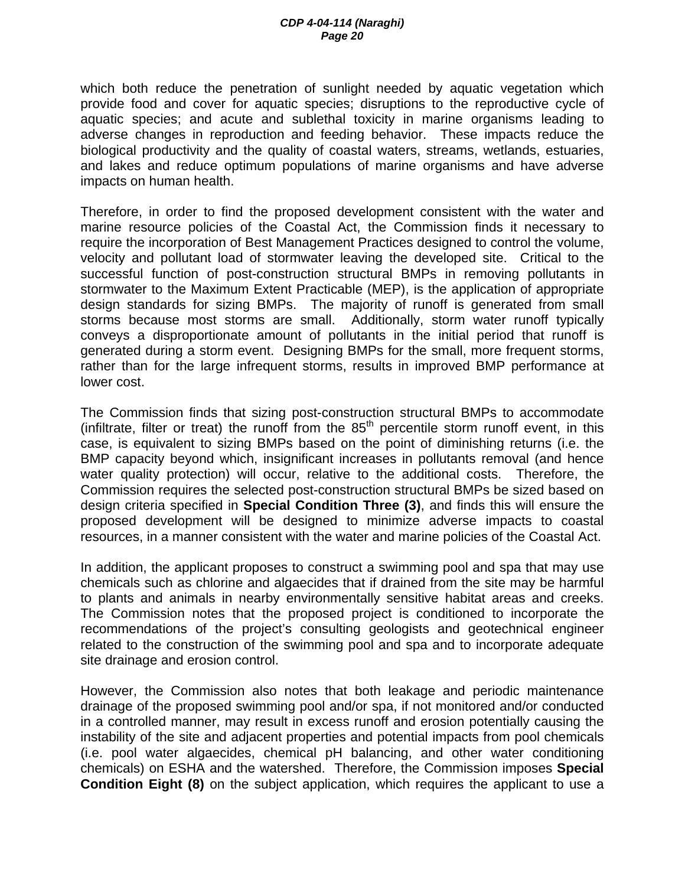which both reduce the penetration of sunlight needed by aquatic vegetation which provide food and cover for aquatic species; disruptions to the reproductive cycle of aquatic species; and acute and sublethal toxicity in marine organisms leading to adverse changes in reproduction and feeding behavior. These impacts reduce the biological productivity and the quality of coastal waters, streams, wetlands, estuaries, and lakes and reduce optimum populations of marine organisms and have adverse impacts on human health.

Therefore, in order to find the proposed development consistent with the water and marine resource policies of the Coastal Act, the Commission finds it necessary to require the incorporation of Best Management Practices designed to control the volume, velocity and pollutant load of stormwater leaving the developed site. Critical to the successful function of post-construction structural BMPs in removing pollutants in stormwater to the Maximum Extent Practicable (MEP), is the application of appropriate design standards for sizing BMPs. The majority of runoff is generated from small storms because most storms are small. Additionally, storm water runoff typically conveys a disproportionate amount of pollutants in the initial period that runoff is generated during a storm event. Designing BMPs for the small, more frequent storms, rather than for the large infrequent storms, results in improved BMP performance at lower cost.

The Commission finds that sizing post-construction structural BMPs to accommodate (infiltrate, filter or treat) the runoff from the  $85<sup>th</sup>$  percentile storm runoff event, in this case, is equivalent to sizing BMPs based on the point of diminishing returns (i.e. the BMP capacity beyond which, insignificant increases in pollutants removal (and hence water quality protection) will occur, relative to the additional costs. Therefore, the Commission requires the selected post-construction structural BMPs be sized based on design criteria specified in **Special Condition Three (3)**, and finds this will ensure the proposed development will be designed to minimize adverse impacts to coastal resources, in a manner consistent with the water and marine policies of the Coastal Act.

In addition, the applicant proposes to construct a swimming pool and spa that may use chemicals such as chlorine and algaecides that if drained from the site may be harmful to plants and animals in nearby environmentally sensitive habitat areas and creeks. The Commission notes that the proposed project is conditioned to incorporate the recommendations of the project's consulting geologists and geotechnical engineer related to the construction of the swimming pool and spa and to incorporate adequate site drainage and erosion control.

However, the Commission also notes that both leakage and periodic maintenance drainage of the proposed swimming pool and/or spa, if not monitored and/or conducted in a controlled manner, may result in excess runoff and erosion potentially causing the instability of the site and adjacent properties and potential impacts from pool chemicals (i.e. pool water algaecides, chemical pH balancing, and other water conditioning chemicals) on ESHA and the watershed. Therefore, the Commission imposes **Special Condition Eight (8)** on the subject application, which requires the applicant to use a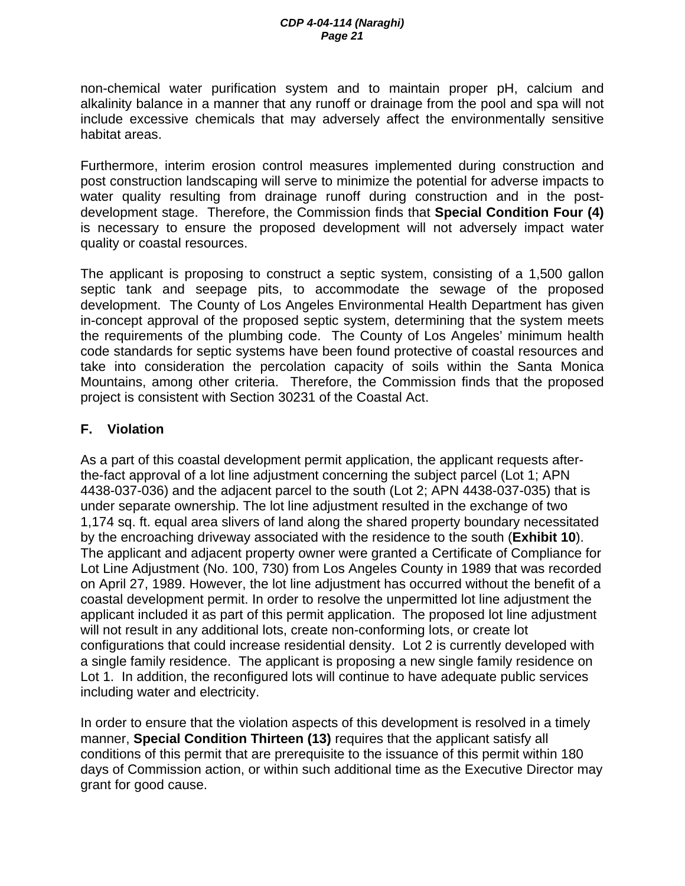non-chemical water purification system and to maintain proper pH, calcium and alkalinity balance in a manner that any runoff or drainage from the pool and spa will not include excessive chemicals that may adversely affect the environmentally sensitive habitat areas.

Furthermore, interim erosion control measures implemented during construction and post construction landscaping will serve to minimize the potential for adverse impacts to water quality resulting from drainage runoff during construction and in the postdevelopment stage. Therefore, the Commission finds that **Special Condition Four (4)**  is necessary to ensure the proposed development will not adversely impact water quality or coastal resources.

The applicant is proposing to construct a septic system, consisting of a 1,500 gallon septic tank and seepage pits, to accommodate the sewage of the proposed development. The County of Los Angeles Environmental Health Department has given in-concept approval of the proposed septic system, determining that the system meets the requirements of the plumbing code. The County of Los Angeles' minimum health code standards for septic systems have been found protective of coastal resources and take into consideration the percolation capacity of soils within the Santa Monica Mountains, among other criteria. Therefore, the Commission finds that the proposed project is consistent with Section 30231 of the Coastal Act.

# **F. Violation**

As a part of this coastal development permit application, the applicant requests afterthe-fact approval of a lot line adjustment concerning the subject parcel (Lot 1; APN 4438-037-036) and the adjacent parcel to the south (Lot 2; APN 4438-037-035) that is under separate ownership. The lot line adjustment resulted in the exchange of two 1,174 sq. ft. equal area slivers of land along the shared property boundary necessitated by the encroaching driveway associated with the residence to the south (**Exhibit 10**). The applicant and adjacent property owner were granted a Certificate of Compliance for Lot Line Adjustment (No. 100, 730) from Los Angeles County in 1989 that was recorded on April 27, 1989. However, the lot line adjustment has occurred without the benefit of a coastal development permit. In order to resolve the unpermitted lot line adjustment the applicant included it as part of this permit application. The proposed lot line adjustment will not result in any additional lots, create non-conforming lots, or create lot configurations that could increase residential density. Lot 2 is currently developed with a single family residence. The applicant is proposing a new single family residence on Lot 1. In addition, the reconfigured lots will continue to have adequate public services including water and electricity.

In order to ensure that the violation aspects of this development is resolved in a timely manner, **Special Condition Thirteen (13)** requires that the applicant satisfy all conditions of this permit that are prerequisite to the issuance of this permit within 180 days of Commission action, or within such additional time as the Executive Director may grant for good cause.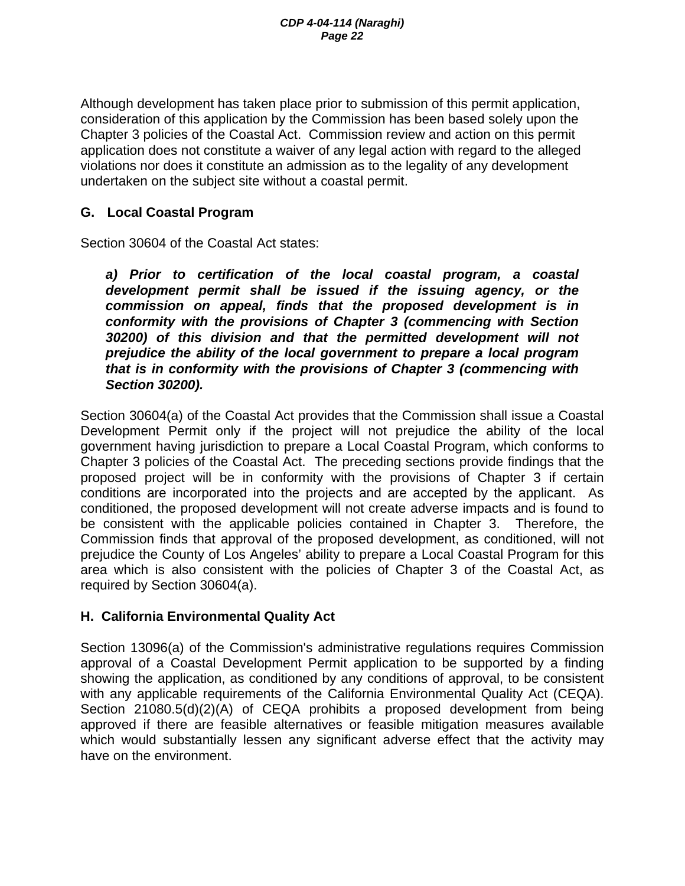Although development has taken place prior to submission of this permit application, consideration of this application by the Commission has been based solely upon the Chapter 3 policies of the Coastal Act. Commission review and action on this permit application does not constitute a waiver of any legal action with regard to the alleged violations nor does it constitute an admission as to the legality of any development undertaken on the subject site without a coastal permit.

### **G. Local Coastal Program**

Section 30604 of the Coastal Act states:

*a) Prior to certification of the local coastal program, a coastal development permit shall be issued if the issuing agency, or the commission on appeal, finds that the proposed development is in conformity with the provisions of Chapter 3 (commencing with Section 30200) of this division and that the permitted development will not prejudice the ability of the local government to prepare a local program that is in conformity with the provisions of Chapter 3 (commencing with Section 30200).* 

Section 30604(a) of the Coastal Act provides that the Commission shall issue a Coastal Development Permit only if the project will not prejudice the ability of the local government having jurisdiction to prepare a Local Coastal Program, which conforms to Chapter 3 policies of the Coastal Act. The preceding sections provide findings that the proposed project will be in conformity with the provisions of Chapter 3 if certain conditions are incorporated into the projects and are accepted by the applicant. As conditioned, the proposed development will not create adverse impacts and is found to be consistent with the applicable policies contained in Chapter 3. Therefore, the Commission finds that approval of the proposed development, as conditioned, will not prejudice the County of Los Angeles' ability to prepare a Local Coastal Program for this area which is also consistent with the policies of Chapter 3 of the Coastal Act, as required by Section 30604(a).

### **H. California Environmental Quality Act**

Section 13096(a) of the Commission's administrative regulations requires Commission approval of a Coastal Development Permit application to be supported by a finding showing the application, as conditioned by any conditions of approval, to be consistent with any applicable requirements of the California Environmental Quality Act (CEQA). Section 21080.5(d)(2)(A) of CEQA prohibits a proposed development from being approved if there are feasible alternatives or feasible mitigation measures available which would substantially lessen any significant adverse effect that the activity may have on the environment.